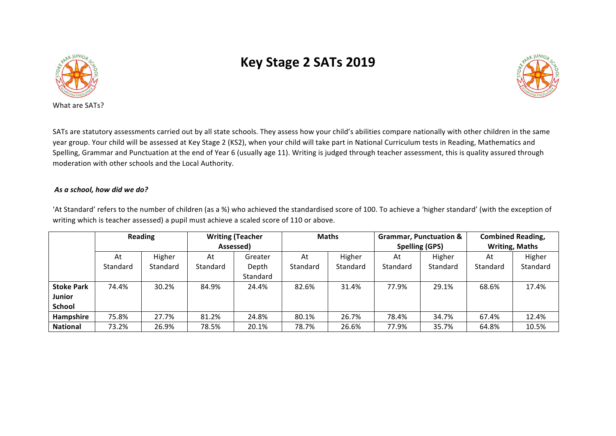

## **Key Stage 2 SATs 2019**



SATs are statutory assessments carried out by all state schools. They assess how your child's abilities compare nationally with other children in the same year group. Your child will be assessed at Key Stage 2 (KS2), when your child will take part in National Curriculum tests in Reading, Mathematics and Spelling, Grammar and Punctuation at the end of Year 6 (usually age 11). Writing is judged through teacher assessment, this is quality assured through moderation with other schools and the Local Authority.

## As a school, how did we do?

'At Standard' refers to the number of children (as a %) who achieved the standardised score of 100. To achieve a 'higher standard' (with the exception of writing which is teacher assessed) a pupil must achieve a scaled score of 110 or above.

|                   | <b>Reading</b> |          | <b>Writing (Teacher</b><br>Assessed) |                 | Maths    |          | <b>Grammar, Punctuation &amp;</b><br><b>Spelling (GPS)</b> |          | <b>Combined Reading,</b><br><b>Writing, Maths</b> |          |
|-------------------|----------------|----------|--------------------------------------|-----------------|----------|----------|------------------------------------------------------------|----------|---------------------------------------------------|----------|
|                   |                |          |                                      |                 |          |          |                                                            |          |                                                   |          |
|                   | At             | Higher   | At                                   | Greater         | At       | Higher   | At                                                         | Higher   | At                                                | Higher   |
|                   | Standard       | Standard | Standard                             | Depth           | Standard | Standard | Standard                                                   | Standard | Standard                                          | Standard |
|                   |                |          |                                      | <b>Standard</b> |          |          |                                                            |          |                                                   |          |
| <b>Stoke Park</b> | 74.4%          | 30.2%    | 84.9%                                | 24.4%           | 82.6%    | 31.4%    | 77.9%                                                      | 29.1%    | 68.6%                                             | 17.4%    |
| Junior            |                |          |                                      |                 |          |          |                                                            |          |                                                   |          |
| <b>School</b>     |                |          |                                      |                 |          |          |                                                            |          |                                                   |          |
| Hampshire         | 75.8%          | 27.7%    | 81.2%                                | 24.8%           | 80.1%    | 26.7%    | 78.4%                                                      | 34.7%    | 67.4%                                             | 12.4%    |
| <b>National</b>   | 73.2%          | 26.9%    | 78.5%                                | 20.1%           | 78.7%    | 26.6%    | 77.9%                                                      | 35.7%    | 64.8%                                             | 10.5%    |